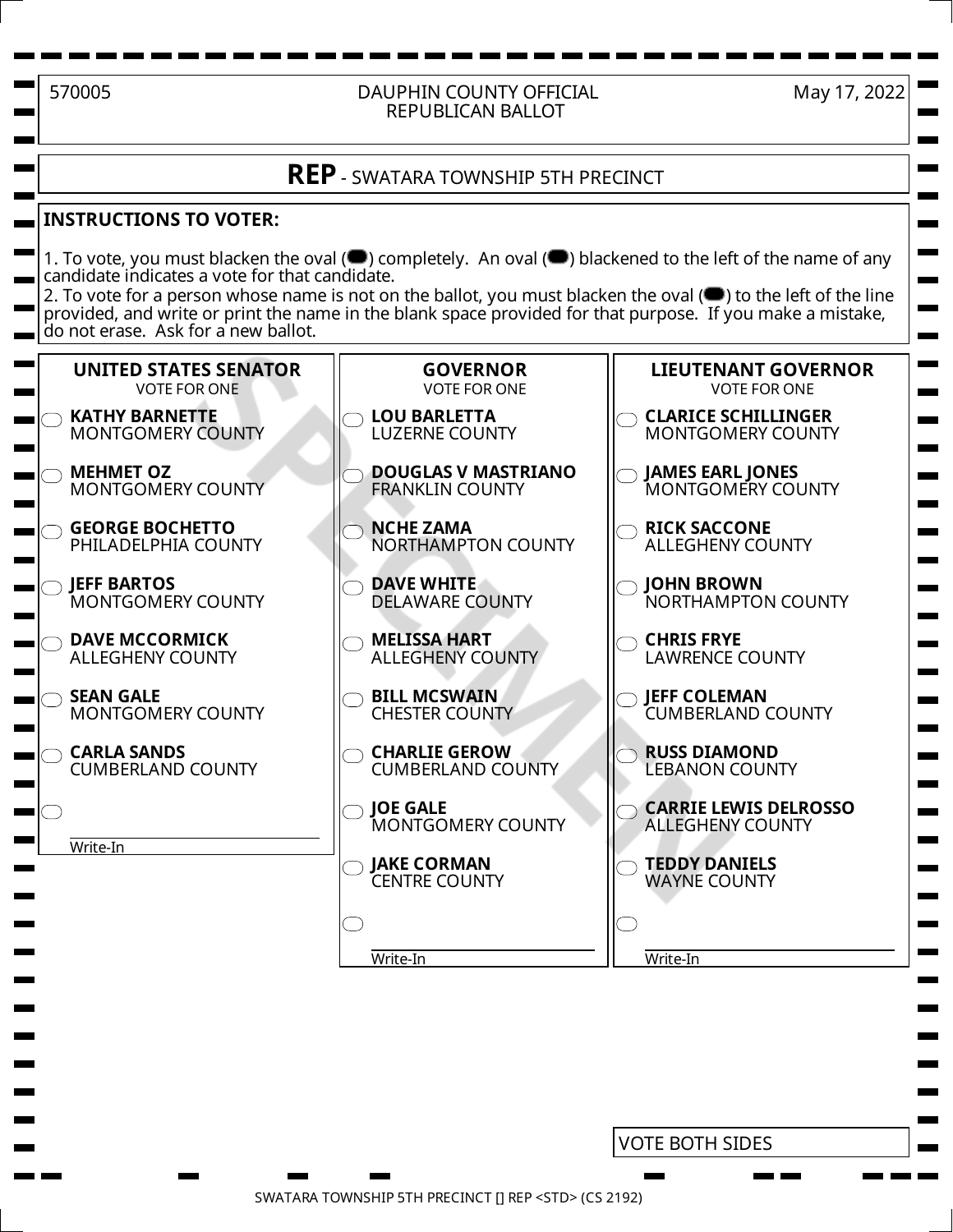## 570005 DAUPHIN COUNTY OFFICIAL REPUBLICAN BALLOT

May 17, 2022

## **REP**- SWATARA TOWNSHIP 5TH PRECINCT

## **INSTRUCTIONS TO VOTER:**

1. To vote, you must blacken the oval ( $\bullet$ ) completely. An oval ( $\bullet$ ) blackened to the left of the name of any candidate indicates a vote for that candidate.

2. To vote for a person whose name is not on the ballot, you must blacken the oval  $($ **)** to the left of the line provided, and write or print the name in the blank space provided for that purpose. If you make a mistake, do not erase. Ask for a new ballot.



VOTE BOTH SIDES